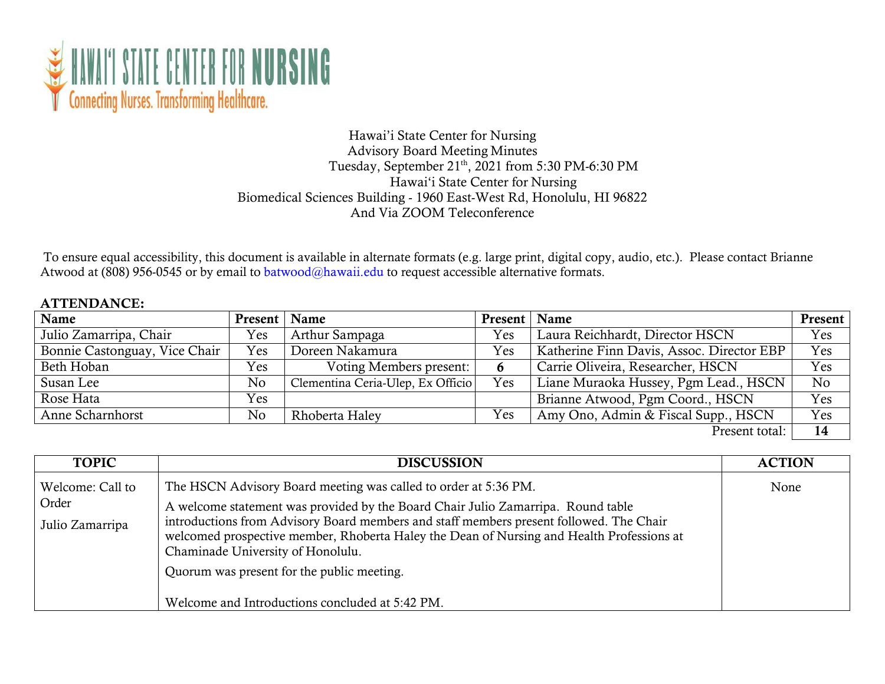

## Hawai'i State Center for Nursing Advisory Board Meeting Minutes Tuesday, September 21<sup>th</sup>, 2021 from 5:30 PM-6:30 PM Hawai'i State Center for Nursing Biomedical Sciences Building - 1960 East-West Rd, Honolulu, HI 96822 And Via ZOOM Teleconference

To ensure equal accessibility, this document is available in alternate formats (e.g. large print, digital copy, audio, etc.). Please contact Brianne Atwood at (808) 956-0545 or by email to [batwood@hawaii.edu t](mailto:batwood@hawaii.edu)o request accessible alternative formats.

## ATTENDANCE:

| Name                          | Present   Name |                                   | Present   Name |                                           | <b>Present</b> |
|-------------------------------|----------------|-----------------------------------|----------------|-------------------------------------------|----------------|
| Julio Zamarripa, Chair        | Yes            | Arthur Sampaga                    | Yes            | Laura Reichhardt, Director HSCN           | Yes            |
| Bonnie Castonguay, Vice Chair | Yes            | Doreen Nakamura                   | Yes            | Katherine Finn Davis, Assoc. Director EBP | Yes            |
| Beth Hoban                    | Yes            | Voting Members present:           |                | Carrie Oliveira, Researcher, HSCN         | Yes            |
| Susan Lee                     | No             | Clementina Ceria-Ulep, Ex Officio | Yes            | Liane Muraoka Hussey, Pgm Lead., HSCN     | No             |
| Rose Hata                     | Yes            |                                   |                | Brianne Atwood, Pgm Coord., HSCN          | Yes            |
| Anne Scharnhorst              | No             | Rhoberta Haley                    | Yes            | Amy Ono, Admin & Fiscal Supp., HSCN       | Yes            |
|                               |                |                                   |                | $\mathbf{D}$ 1.                           | $\blacksquare$ |

Present total: 14

| <b>TOPIC</b>                                 | <b>DISCUSSION</b>                                                                                                                                                                                                                                                                                                                                                                                                                                                                 | <b>ACTION</b> |
|----------------------------------------------|-----------------------------------------------------------------------------------------------------------------------------------------------------------------------------------------------------------------------------------------------------------------------------------------------------------------------------------------------------------------------------------------------------------------------------------------------------------------------------------|---------------|
| Welcome: Call to<br>Order<br>Julio Zamarripa | The HSCN Advisory Board meeting was called to order at 5:36 PM.<br>A welcome statement was provided by the Board Chair Julio Zamarripa. Round table<br>introductions from Advisory Board members and staff members present followed. The Chair<br>welcomed prospective member, Rhoberta Haley the Dean of Nursing and Health Professions at<br>Chaminade University of Honolulu.<br>Quorum was present for the public meeting.<br>Welcome and Introductions concluded at 5:42 PM. | None          |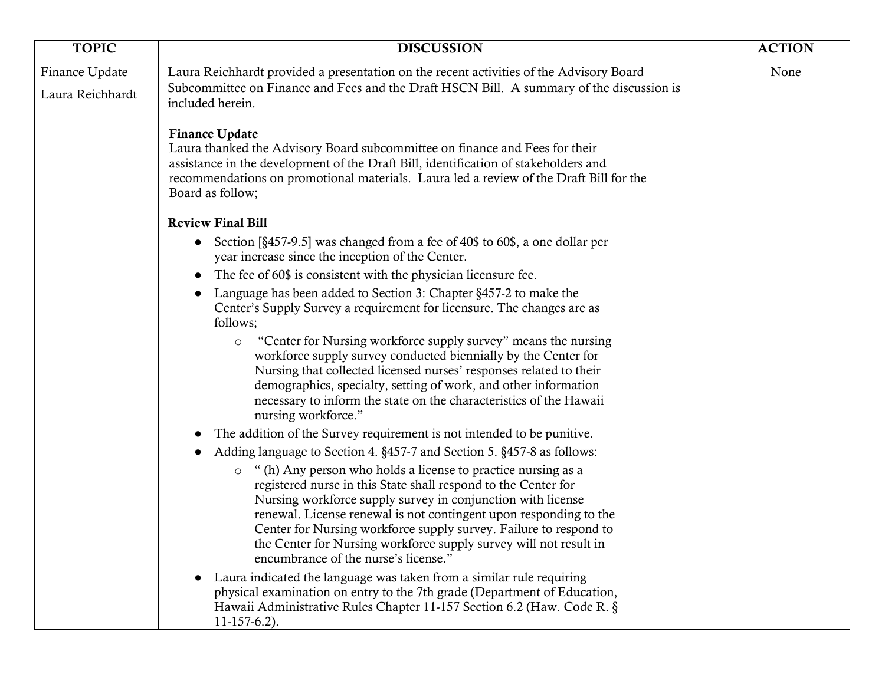| <b>TOPIC</b>                       | <b>DISCUSSION</b>                                                                                                                                                                                                                                                                                                                                                                                                                                                                                                                          | <b>ACTION</b> |
|------------------------------------|--------------------------------------------------------------------------------------------------------------------------------------------------------------------------------------------------------------------------------------------------------------------------------------------------------------------------------------------------------------------------------------------------------------------------------------------------------------------------------------------------------------------------------------------|---------------|
| Finance Update<br>Laura Reichhardt | Laura Reichhardt provided a presentation on the recent activities of the Advisory Board<br>Subcommittee on Finance and Fees and the Draft HSCN Bill. A summary of the discussion is<br>included herein.                                                                                                                                                                                                                                                                                                                                    | None          |
|                                    | <b>Finance Update</b><br>Laura thanked the Advisory Board subcommittee on finance and Fees for their<br>assistance in the development of the Draft Bill, identification of stakeholders and<br>recommendations on promotional materials. Laura led a review of the Draft Bill for the<br>Board as follow;                                                                                                                                                                                                                                  |               |
|                                    | <b>Review Final Bill</b>                                                                                                                                                                                                                                                                                                                                                                                                                                                                                                                   |               |
|                                    | Section [§457-9.5] was changed from a fee of 40\$ to 60\$, a one dollar per<br>$\bullet$<br>year increase since the inception of the Center.                                                                                                                                                                                                                                                                                                                                                                                               |               |
|                                    | The fee of 60\$ is consistent with the physician licensure fee.                                                                                                                                                                                                                                                                                                                                                                                                                                                                            |               |
|                                    | Language has been added to Section 3: Chapter §457-2 to make the<br>Center's Supply Survey a requirement for licensure. The changes are as<br>follows;                                                                                                                                                                                                                                                                                                                                                                                     |               |
|                                    | "Center for Nursing workforce supply survey" means the nursing<br>$\circ$<br>workforce supply survey conducted biennially by the Center for<br>Nursing that collected licensed nurses' responses related to their<br>demographics, specialty, setting of work, and other information<br>necessary to inform the state on the characteristics of the Hawaii<br>nursing workforce."                                                                                                                                                          |               |
|                                    | The addition of the Survey requirement is not intended to be punitive.                                                                                                                                                                                                                                                                                                                                                                                                                                                                     |               |
|                                    | Adding language to Section 4. §457-7 and Section 5. §457-8 as follows:<br>" (h) Any person who holds a license to practice nursing as a<br>$\circ$<br>registered nurse in this State shall respond to the Center for<br>Nursing workforce supply survey in conjunction with license<br>renewal. License renewal is not contingent upon responding to the<br>Center for Nursing workforce supply survey. Failure to respond to<br>the Center for Nursing workforce supply survey will not result in<br>encumbrance of the nurse's license." |               |
|                                    | Laura indicated the language was taken from a similar rule requiring<br>physical examination on entry to the 7th grade (Department of Education,<br>Hawaii Administrative Rules Chapter 11-157 Section 6.2 (Haw. Code R. §<br>$11-157-6.2$ ).                                                                                                                                                                                                                                                                                              |               |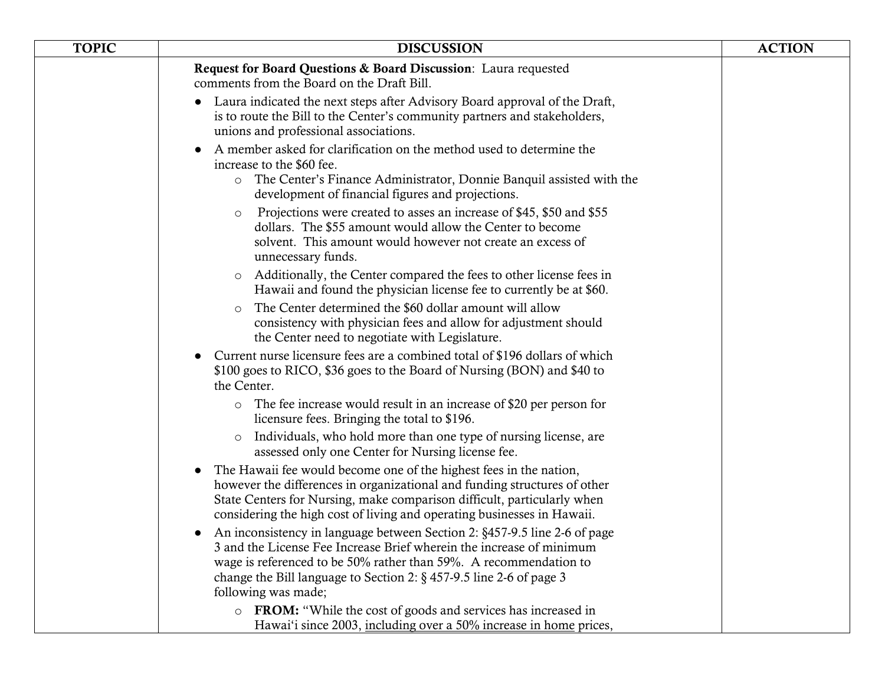| <b>TOPIC</b> | <b>DISCUSSION</b>                                                                                                                                                                                                                                                                                                                    | <b>ACTION</b> |
|--------------|--------------------------------------------------------------------------------------------------------------------------------------------------------------------------------------------------------------------------------------------------------------------------------------------------------------------------------------|---------------|
|              | Request for Board Questions & Board Discussion: Laura requested<br>comments from the Board on the Draft Bill.                                                                                                                                                                                                                        |               |
|              | Laura indicated the next steps after Advisory Board approval of the Draft,<br>is to route the Bill to the Center's community partners and stakeholders,<br>unions and professional associations.                                                                                                                                     |               |
|              | A member asked for clarification on the method used to determine the<br>increase to the \$60 fee.<br>The Center's Finance Administrator, Donnie Banquil assisted with the<br>$\circ$<br>development of financial figures and projections.                                                                                            |               |
|              | Projections were created to asses an increase of \$45, \$50 and \$55<br>$\circ$<br>dollars. The \$55 amount would allow the Center to become<br>solvent. This amount would however not create an excess of<br>unnecessary funds.                                                                                                     |               |
|              | Additionally, the Center compared the fees to other license fees in<br>$\circ$<br>Hawaii and found the physician license fee to currently be at \$60.                                                                                                                                                                                |               |
|              | The Center determined the \$60 dollar amount will allow<br>$\Omega$<br>consistency with physician fees and allow for adjustment should<br>the Center need to negotiate with Legislature.                                                                                                                                             |               |
|              | Current nurse licensure fees are a combined total of \$196 dollars of which<br>\$100 goes to RICO, \$36 goes to the Board of Nursing (BON) and \$40 to<br>the Center.                                                                                                                                                                |               |
|              | The fee increase would result in an increase of \$20 per person for<br>$\circ$<br>licensure fees. Bringing the total to \$196.                                                                                                                                                                                                       |               |
|              | Individuals, who hold more than one type of nursing license, are<br>$\circ$<br>assessed only one Center for Nursing license fee.                                                                                                                                                                                                     |               |
|              | The Hawaii fee would become one of the highest fees in the nation,<br>however the differences in organizational and funding structures of other<br>State Centers for Nursing, make comparison difficult, particularly when<br>considering the high cost of living and operating businesses in Hawaii.                                |               |
|              | An inconsistency in language between Section 2: §457-9.5 line 2-6 of page<br>$\bullet$<br>3 and the License Fee Increase Brief wherein the increase of minimum<br>wage is referenced to be 50% rather than 59%. A recommendation to<br>change the Bill language to Section 2: $\S$ 457-9.5 line 2-6 of page 3<br>following was made; |               |
|              | o FROM: "While the cost of goods and services has increased in<br>Hawai'i since 2003, including over a 50% increase in home prices,                                                                                                                                                                                                  |               |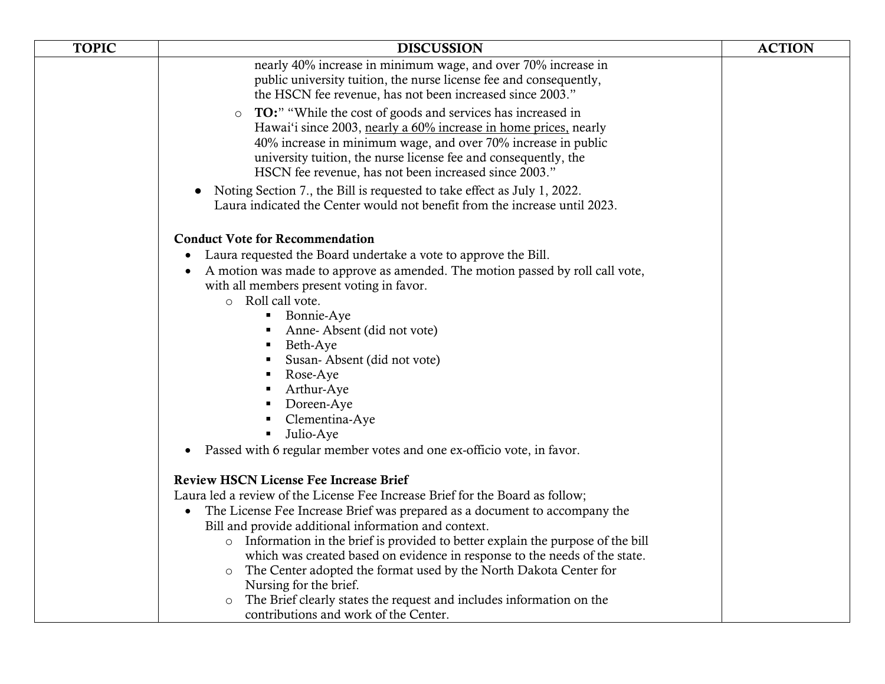| <b>TOPIC</b> | <b>DISCUSSION</b>                                                                                                                               | <b>ACTION</b> |
|--------------|-------------------------------------------------------------------------------------------------------------------------------------------------|---------------|
|              | nearly 40% increase in minimum wage, and over 70% increase in                                                                                   |               |
|              | public university tuition, the nurse license fee and consequently,<br>the HSCN fee revenue, has not been increased since 2003."                 |               |
|              | <b>TO:</b> " "While the cost of goods and services has increased in<br>$\circ$                                                                  |               |
|              | Hawai'i since 2003, nearly a 60% increase in home prices, nearly                                                                                |               |
|              | 40% increase in minimum wage, and over 70% increase in public<br>university tuition, the nurse license fee and consequently, the                |               |
|              | HSCN fee revenue, has not been increased since 2003."                                                                                           |               |
|              | Noting Section 7., the Bill is requested to take effect as July 1, 2022.<br>$\bullet$                                                           |               |
|              | Laura indicated the Center would not benefit from the increase until 2023.                                                                      |               |
|              | <b>Conduct Vote for Recommendation</b>                                                                                                          |               |
|              | Laura requested the Board undertake a vote to approve the Bill.<br>$\bullet$                                                                    |               |
|              | A motion was made to approve as amended. The motion passed by roll call vote,<br>$\bullet$                                                      |               |
|              | with all members present voting in favor.                                                                                                       |               |
|              | o Roll call vote.<br>Bonnie-Aye<br>$\blacksquare$                                                                                               |               |
|              | Anne-Absent (did not vote)<br>٠                                                                                                                 |               |
|              | Beth-Aye                                                                                                                                        |               |
|              | Susan-Absent (did not vote)                                                                                                                     |               |
|              | Rose-Aye<br>٠                                                                                                                                   |               |
|              | Arthur-Aye<br>٠                                                                                                                                 |               |
|              | Doreen-Aye<br>$\blacksquare$<br>Clementina-Aye<br>$\blacksquare$                                                                                |               |
|              | Julio-Aye<br>$\blacksquare$                                                                                                                     |               |
|              | Passed with 6 regular member votes and one ex-officio vote, in favor.<br>$\bullet$                                                              |               |
|              | <b>Review HSCN License Fee Increase Brief</b>                                                                                                   |               |
|              | Laura led a review of the License Fee Increase Brief for the Board as follow;                                                                   |               |
|              | The License Fee Increase Brief was prepared as a document to accompany the<br>$\bullet$                                                         |               |
|              | Bill and provide additional information and context.                                                                                            |               |
|              | o Information in the brief is provided to better explain the purpose of the bill                                                                |               |
|              | which was created based on evidence in response to the needs of the state.<br>The Center adopted the format used by the North Dakota Center for |               |
|              | $\circ$<br>Nursing for the brief.                                                                                                               |               |
|              | The Brief clearly states the request and includes information on the                                                                            |               |
|              | contributions and work of the Center.                                                                                                           |               |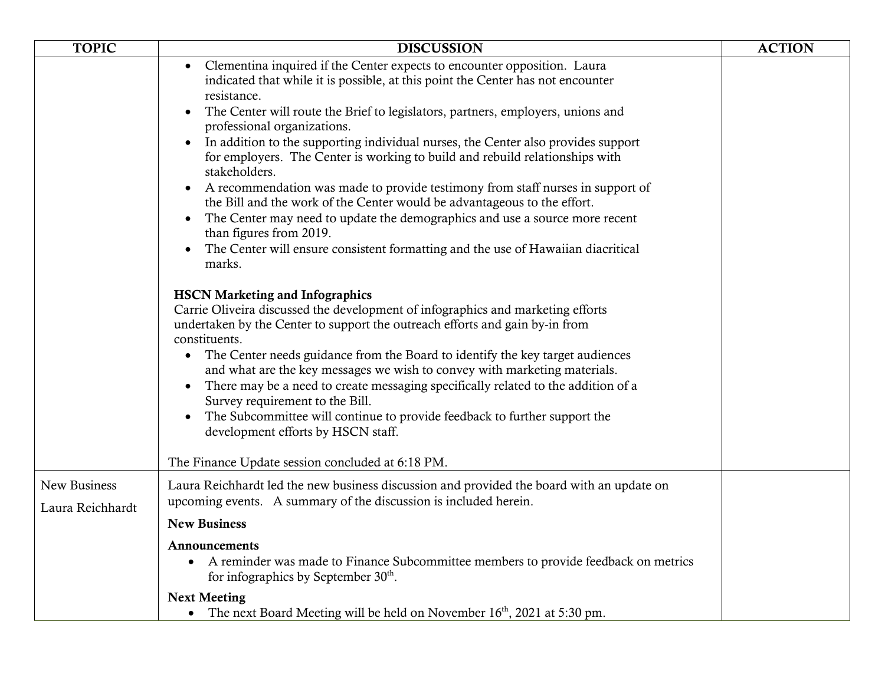| <b>TOPIC</b>                     | <b>DISCUSSION</b>                                                                                                                                                                                                                                                                                                                                                                                                                                                                                                                                                                                                                                                                                                                                                                                                                                        | <b>ACTION</b> |
|----------------------------------|----------------------------------------------------------------------------------------------------------------------------------------------------------------------------------------------------------------------------------------------------------------------------------------------------------------------------------------------------------------------------------------------------------------------------------------------------------------------------------------------------------------------------------------------------------------------------------------------------------------------------------------------------------------------------------------------------------------------------------------------------------------------------------------------------------------------------------------------------------|---------------|
|                                  | Clementina inquired if the Center expects to encounter opposition. Laura<br>indicated that while it is possible, at this point the Center has not encounter<br>resistance.<br>The Center will route the Brief to legislators, partners, employers, unions and<br>professional organizations.<br>In addition to the supporting individual nurses, the Center also provides support<br>for employers. The Center is working to build and rebuild relationships with<br>stakeholders.<br>A recommendation was made to provide testimony from staff nurses in support of<br>the Bill and the work of the Center would be advantageous to the effort.<br>The Center may need to update the demographics and use a source more recent<br>than figures from 2019.<br>The Center will ensure consistent formatting and the use of Hawaiian diacritical<br>marks. |               |
|                                  | <b>HSCN Marketing and Infographics</b><br>Carrie Oliveira discussed the development of infographics and marketing efforts<br>undertaken by the Center to support the outreach efforts and gain by-in from<br>constituents.<br>The Center needs guidance from the Board to identify the key target audiences<br>$\bullet$<br>and what are the key messages we wish to convey with marketing materials.<br>There may be a need to create messaging specifically related to the addition of a<br>Survey requirement to the Bill.<br>The Subcommittee will continue to provide feedback to further support the<br>$\bullet$<br>development efforts by HSCN staff.<br>The Finance Update session concluded at 6:18 PM.                                                                                                                                        |               |
| New Business<br>Laura Reichhardt | Laura Reichhardt led the new business discussion and provided the board with an update on<br>upcoming events. A summary of the discussion is included herein.<br><b>New Business</b>                                                                                                                                                                                                                                                                                                                                                                                                                                                                                                                                                                                                                                                                     |               |
|                                  | <b>Announcements</b><br>A reminder was made to Finance Subcommittee members to provide feedback on metrics<br>$\bullet$<br>for infographics by September 30 <sup>th</sup> .                                                                                                                                                                                                                                                                                                                                                                                                                                                                                                                                                                                                                                                                              |               |
|                                  | <b>Next Meeting</b><br>• The next Board Meeting will be held on November $16th$ , 2021 at 5:30 pm.                                                                                                                                                                                                                                                                                                                                                                                                                                                                                                                                                                                                                                                                                                                                                       |               |